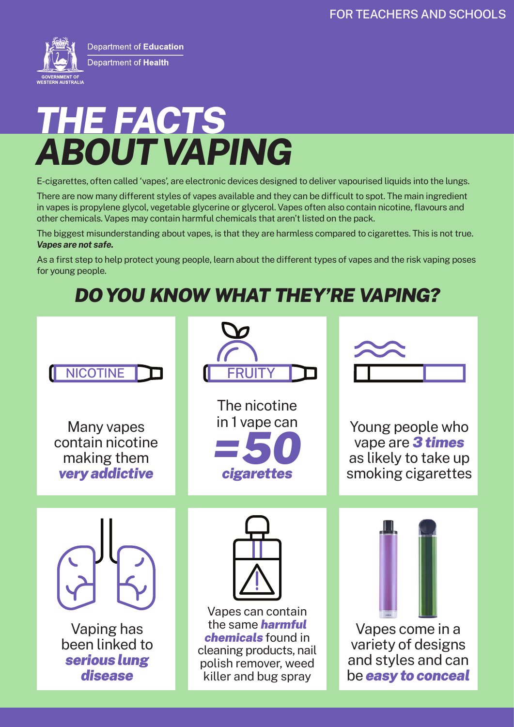

Department of Education Department of Health

# *ABOUT VAPING THE FACTS*

E-cigarettes, often called 'vapes', are electronic devices designed to deliver vapourised liquids into the lungs.

There are now many different styles of vapes available and they can be difficult to spot. The main ingredient in vapes is propylene glycol, vegetable glycerine or glycerol. Vapes often also contain nicotine, flavours and other chemicals. Vapes may contain harmful chemicals that aren't listed on the pack.

The biggest misunderstanding about vapes, is that they are harmless compared to cigarettes. This is not true. *Vapes are not safe.*

As a first step to help protect young people, learn about the different types of vapes and the risk vaping poses for young people.

## *DO YOU KNOW WHAT THEY'RE VAPING?*

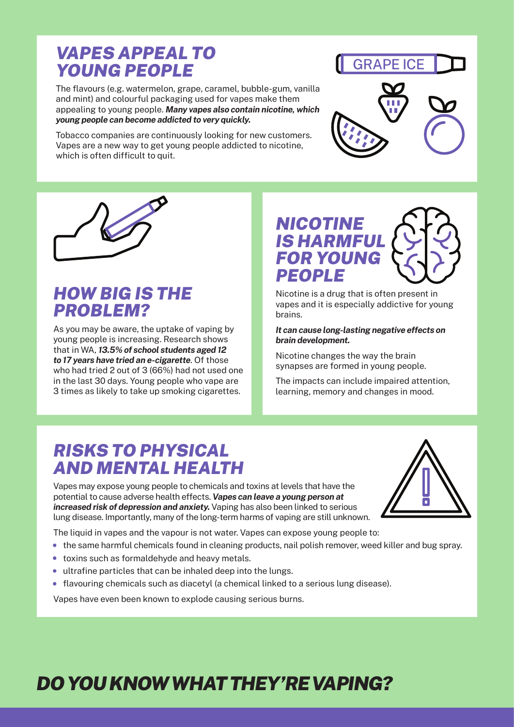#### *VAPES APPEAL TO YOUNG PEOPLE*

The flavours (e.g. watermelon, grape, caramel, bubble-gum, vanilla and mint) and colourful packaging used for vapes make them appealing to young people. *Many vapes also contain nicotine, which young people can become addicted to very quickly.*

Tobacco companies are continuously looking for new customers. Vapes are a new way to get young people addicted to nicotine, which is often difficult to quit.





## *HOW BIG IS THE PROBLEM?*

As you may be aware, the uptake of vaping by young people is increasing. Research shows that in WA, *13.5% of school students aged 12 to 17 years have tried an e-cigarette*. Of those who had tried 2 out of 3 (66%) had not used one in the last 30 days. Young people who vape are 3 times as likely to take up smoking cigarettes.



Nicotine is a drug that is often present in vapes and it is especially addictive for young brains.

*It can cause long-lasting negative effects on brain development.*

Nicotine changes the way the brain synapses are formed in young people.

The impacts can include impaired attention, learning, memory and changes in mood.

#### *RISKS TO PHYSICAL AND MENTAL HEALTH*

Vapes may expose young people to chemicals and toxins at levels that have the potential to cause adverse health effects. *Vapes can leave a young person at increased risk of depression and anxiety.* Vaping has also been linked to serious lung disease. Importantly, many of the long-term harms of vaping are still unknown.



The liquid in vapes and the vapour is not water. Vapes can expose young people to:

- the same harmful chemicals found in cleaning products, nail polish remover, weed killer and bug spray.
- toxins such as formaldehyde and heavy metals.
- ultrafine particles that can be inhaled deep into the lungs.
- flavouring chemicals such as diacetyl (a chemical linked to a serious lung disease).

Vapes have even been known to explode causing serious burns.

## *DO YOU KNOW WHAT THEY'RE VAPING?*